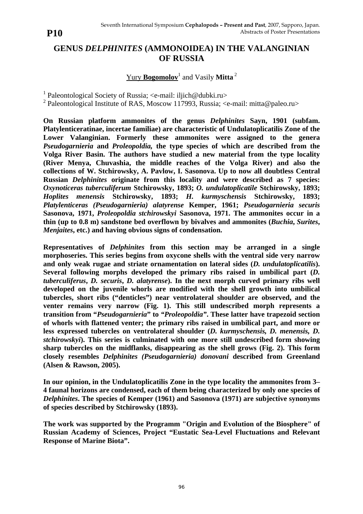## **GENUS** *DELPHINITES* **(AMMONOIDEA) IN THE VALANGINIAN OF RUSSIA**

## Yury **Bogomolov**<sup>1</sup> and Vasily **Mitta**<sup>2</sup>

<sup>1</sup> Paleontological Society of Russia; <e-mail: iljich@dubki.ru>

<sup>2</sup> Paleontological Institute of RAS, Moscow 117993, Russia; <e-mail: mitta@paleo.ru>

**On Russian platform ammonites of the genus** *Delphinites* **Sayn, 1901 (subfam. Platylenticeratinae, incertae familiae) are characteristic of Undulatoplicatilis Zone of the Lower Valanginian. Formerly these ammonites were assigned to the genera** *Pseudogarnieria* **and** *Proleopoldia,* **the type species of which are described from the Volga River Basin. The authors have studied a new material from the type locality (River Menya, Chuvashia, the middle reaches of the Volga River) and also the collections of W. Stchirowsky, A. Pavlow, I. Sasonova. Up to now all doubtless Central Russian** *Delphinites* **originate from this locality and were described as 7 species:** *Oxynoticeras tuberculiferum* **Stchirowsky, 1893;** *O. undulatoplicatile* **Stchirowsky, 1893;** *Hoplites menensis* **Stchirowsky, 1893;** *H. kurmyschensis* **Stchirowsky, 1893;** *Platylenticeras (Pseudogarnieria) alatyrense* **Kemper, 1961;** *Pseudogarnieria securis* **Sasonova, 1971,** *Proleopoldia stchirowskyi* **Sasonova, 1971. The ammonites occur in a thin (up to 0.8 m) sandstone bed overflown by bivalves and ammonites (***Buchia***,** *Surites***,** *Menjaites***, etc.) and having obvious signs of condensation.**

**Representatives of** *Delphinites* **from this section may be arranged in a single morphoseries. This series begins from oxycone shells with the ventral side very narrow and only weak rugae and striate ornamentation on lateral sides (***D. undulatoplicatilis***). Several following morphs developed the primary ribs raised in umbilical part (***D. tuberculiferus***,** *D. securis***,** *D. alatyrense***). In the next morph curved primary ribs well developed on the juvenile whorls are modified with the shell growth into umbilical tubercles, short ribs ("denticles") near ventrolateral shoulder are observed, and the venter remains very narrow (Fig. 1). This still undescribed morph represents a transition from "***Pseudogarnieria***" to** *"Proleopoldia"***. These latter have trapezoid section of whorls with flattened venter; the primary ribs raised in umbilical part, and more or less expressed tubercles on ventrolateral shoulder (***D. kurmyschensis, D. menensis, D. stchirowskyi***). This series is culminated with one more still undescribed form showing sharp tubercles on the midflanks, disappearing as the shell grows (Fig. 2). This form closely resembles** *Delphinites (Pseudogarnieria) donovani* **described from Greenland (Alsen & Rawson, 2005).**

**In our opinion, in the Undulatoplicatilis Zone in the type locality the ammonites from 3– 4 faunal horizons are condensed, each of them being characterized by only one species of** *Delphinites***. The species of Kemper (1961) and Sasonova (1971) are subjective synonyms of species described by Stchirowsky (1893).**

**The work was supported by the Programm "Origin and Evolution of the Biosphere" of Russian Academy of Sciences, Project "Eustatic Sea-Level Fluctuations and Relevant Response of Marine Biota".**